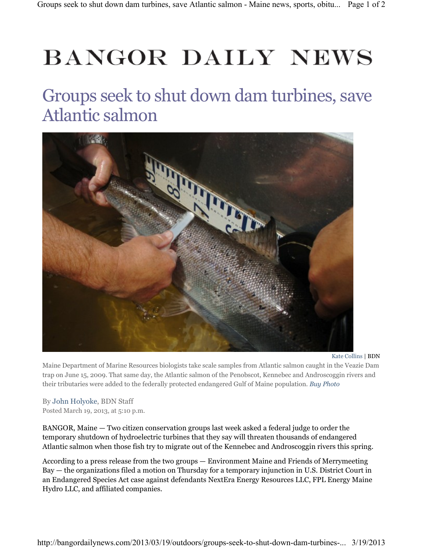## **BANGOR DAILY NEWS**

## Groups seek to shut down dam turbines, save Atlantic salmon



Kate Collins | BDN

Maine Department of Marine Resources biologists take scale samples from Atlantic salmon caught in the Veazie Dam trap on June 15, 2009. That same day, the Atlantic salmon of the Penobscot, Kennebec and Androscoggin rivers and their tributaries were added to the federally protected endangered Gulf of Maine population. Buy Photo

By John Holyoke, BDN Staff Posted March 19, 2013, at 5:10 p.m.

BANGOR, Maine — Two citizen conservation groups last week asked a federal judge to order the temporary shutdown of hydroelectric turbines that they say will threaten thousands of endangered Atlantic salmon when those fish try to migrate out of the Kennebec and Androscoggin rivers this spring.

According to a press release from the two groups — Environment Maine and Friends of Merrymeeting Bay — the organizations filed a motion on Thursday for a temporary injunction in U.S. District Court in an Endangered Species Act case against defendants NextEra Energy Resources LLC, FPL Energy Maine Hydro LLC, and affiliated companies.